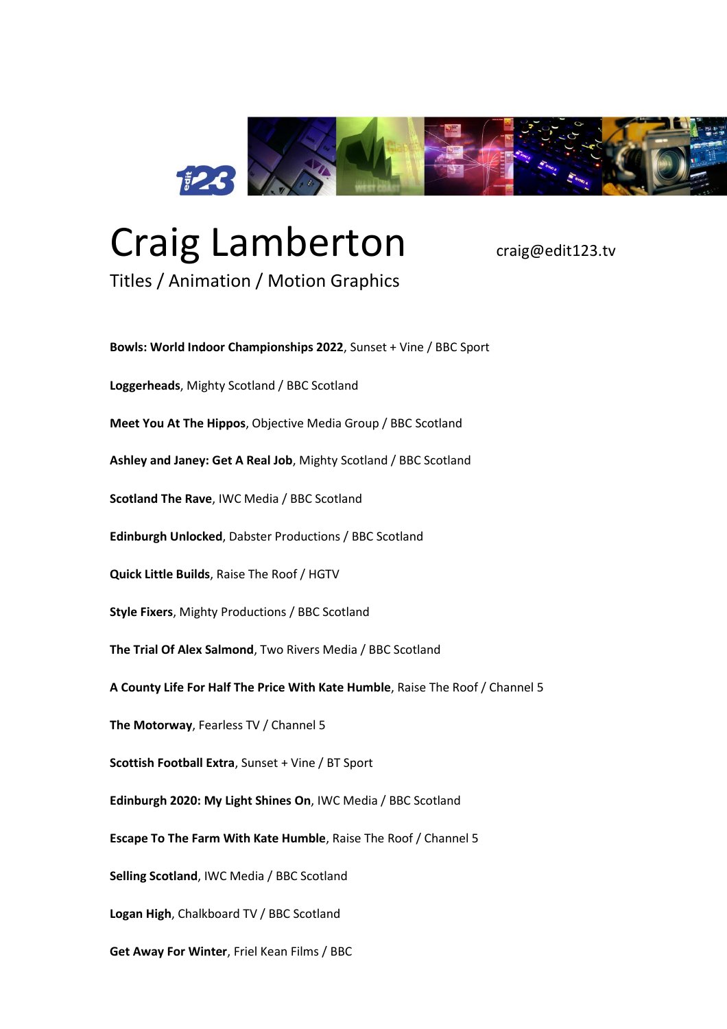

## Craig Lamberton <sub>craig@edit123.tv</sub>

Titles / Animation / Motion Graphics

**Bowls: World Indoor Championships 2022**, Sunset + Vine / BBC Sport **Loggerheads**, Mighty Scotland / BBC Scotland **Meet You At The Hippos**, Objective Media Group / BBC Scotland **Ashley and Janey: Get A Real Job**, Mighty Scotland / BBC Scotland **Scotland The Rave**, IWC Media / BBC Scotland **Edinburgh Unlocked**, Dabster Productions / BBC Scotland **Quick Little Builds**, Raise The Roof / HGTV **Style Fixers**, Mighty Productions / BBC Scotland **The Trial Of Alex Salmond**, Two Rivers Media / BBC Scotland **A County Life For Half The Price With Kate Humble**, Raise The Roof / Channel 5 **The Motorway**, Fearless TV / Channel 5 **Scottish Football Extra**, Sunset + Vine / BT Sport **Edinburgh 2020: My Light Shines On**, IWC Media / BBC Scotland **Escape To The Farm With Kate Humble**, Raise The Roof / Channel 5 **Selling Scotland**, IWC Media / BBC Scotland **Logan High**, Chalkboard TV / BBC Scotland **Get Away For Winter**, Friel Kean Films / BBC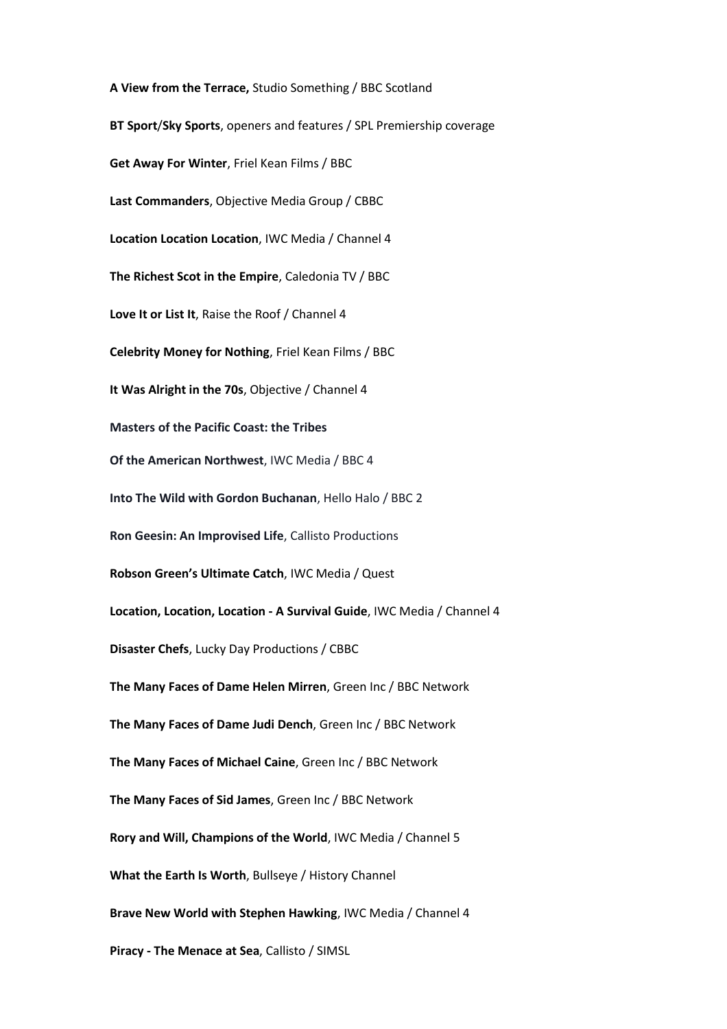**A View from the Terrace,** Studio Something / BBC Scotland **BT Sport**/**Sky Sports**, openers and features / SPL Premiership coverage **Get Away For Winter**, Friel Kean Films / BBC **Last Commanders**, Objective Media Group / CBBC **Location Location Location**, IWC Media / Channel 4 **The Richest Scot in the Empire**, Caledonia TV / BBC **Love It or List It**, Raise the Roof / Channel 4 **Celebrity Money for Nothing**, Friel Kean Films / BBC **It Was Alright in the 70s**, Objective / Channel 4 **Masters of the Pacific Coast: the Tribes Of the American Northwest**, IWC Media / BBC 4 **Into The Wild with Gordon Buchanan**, Hello Halo / BBC 2 **Ron Geesin: An Improvised Life**, Callisto Productions **Robson Green's Ultimate Catch**, IWC Media / Quest **Location, Location, Location - A Survival Guide**, IWC Media / Channel 4 **Disaster Chefs**, Lucky Day Productions / CBBC **The Many Faces of Dame Helen Mirren**, Green Inc / BBC Network **The Many Faces of Dame Judi Dench**, Green Inc / BBC Network **The Many Faces of Michael Caine**, Green Inc / BBC Network **The Many Faces of Sid James**, Green Inc / BBC Network **Rory and Will, Champions of the World**, IWC Media / Channel 5 **What the Earth Is Worth**, Bullseye / History Channel **Brave New World with Stephen Hawking**, IWC Media / Channel 4 **Piracy - The Menace at Sea**, Callisto / SIMSL